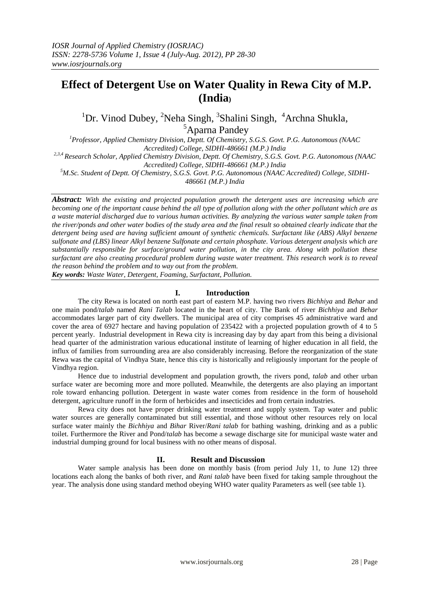# **Effect of Detergent Use on Water Quality in Rewa City of M.P. (India)**

<sup>1</sup>Dr. Vinod Dubey, <sup>2</sup>Neha Singh, <sup>3</sup>Shalini Singh, <sup>4</sup>Archna Shukla, <sup>5</sup>Aparna Pandey

*<sup>1</sup>Professor, Applied Chemistry Division, Deptt. Of Chemistry, S.G.S. Govt. P.G. Autonomous (NAAC Accredited) College, SIDHI-486661 (M.P.) India 2,3,4 Research Scholar, Applied Chemistry Division, Deptt. Of Chemistry, S.G.S. Govt. P.G. Autonomous (NAAC* 

*Accredited) College, SIDHI-486661 (M.P.) India*

*<sup>5</sup>M.Sc. Student of Deptt. Of Chemistry, S.G.S. Govt. P.G. Autonomous (NAAC Accredited) College, SIDHI-486661 (M.P.) India*

*Abstract: With the existing and projected population growth the detergent uses are increasing which are becoming one of the important cause behind the all type of pollution along with the other pollutant which are as a waste material discharged due to various human activities. By analyzing the various water sample taken from the river/ponds and other water bodies of the study area and the final result so obtained clearly indicate that the detergent being used are having sufficient amount of synthetic chemicals. Surfactant like (ABS) Alkyl benzene sulfonate and (LBS) linear Alkyl benzene Sulfonate and certain phosphate. Various detergent analysis which are substantially responsible for surface/ground water pollution, in the city area. Along with pollution these surfactant are also creating procedural problem during waste water treatment. This research work is to reveal the reason behind the problem and to way out from the problem.* 

*Key words: Waste Water, Detergent, Foaming, Surfactant, Pollution.*

### **I. Introduction**

The city Rewa is located on north east part of eastern M.P. having two rivers *Bichhiya* and *Behar* and one main pond/*talab* named *Rani Talab* located in the heart of city. The Bank of river *Bichhiya* and *Behar* accommodates larger part of city dwellers. The municipal area of city comprises 45 administrative ward and cover the area of 6927 hectare and having population of 235422 with a projected population growth of 4 to 5 percent yearly. Industrial development in Rewa city is increasing day by day apart from this being a divisional head quarter of the administration various educational institute of learning of higher education in all field, the influx of families from surrounding area are also considerably increasing. Before the reorganization of the state Rewa was the capital of Vindhya State, hence this city is historically and religiously important for the people of Vindhya region.

Hence due to industrial development and population growth, the rivers pond, *talab* and other urban surface water are becoming more and more polluted. Meanwhile, the detergents are also playing an important role toward enhancing pollution. Detergent in waste water comes from residence in the form of household detergent, agriculture runoff in the form of herbicides and insecticides and from certain industries.

Rewa city does not have proper drinking water treatment and supply system. Tap water and public water sources are generally contaminated but still essential, and those without other resources rely on local surface water mainly the *Bichhiya* and *Bihar* River/*Rani talab* for bathing washing, drinking and as a public toilet. Furthermore the River and Pond/*talab* has become a sewage discharge site for municipal waste water and industrial dumping ground for local business with no other means of disposal.

## **II. Result and Discussion**

Water sample analysis has been done on monthly basis (from period July 11, to June 12) three locations each along the banks of both river, and *Rani talab* have been fixed for taking sample throughout the year. The analysis done using standard method obeying WHO water quality Parameters as well (see table 1).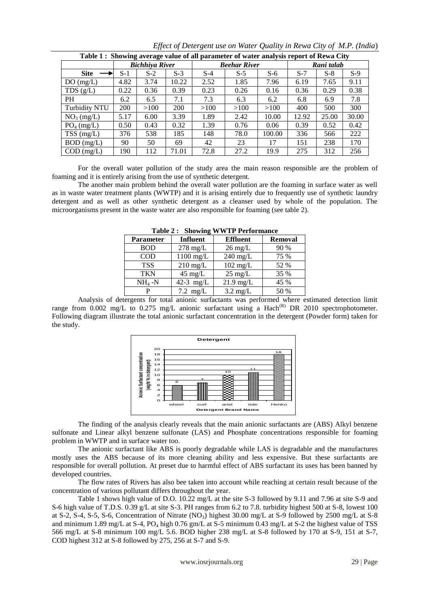| Table 1: Showing average value of all parameter of water analysis report of Rewa City |                       |       |                     |       |       |            |       |       |       |
|---------------------------------------------------------------------------------------|-----------------------|-------|---------------------|-------|-------|------------|-------|-------|-------|
|                                                                                       | <b>Bichhiya River</b> |       | <b>Beehar River</b> |       |       | Rani talab |       |       |       |
| <b>Site</b>                                                                           | $S-1$                 | $S-2$ | $S-3$               | $S-4$ | $S-5$ | $S-6$      | $S-7$ | $S-8$ | $S-9$ |
| DO(mg/L)                                                                              | 4.82                  | 3.74  | 10.22               | 2.52  | 1.85  | 7.96       | 6.19  | 7.65  | 9.11  |
| TDS $(g/L)$                                                                           | 0.22                  | 0.36  | 0.39                | 0.23  | 0.26  | 0.16       | 0.36  | 0.29  | 0.38  |
| <b>PH</b>                                                                             | 6.2                   | 6.5   | 7.1                 | 7.3   | 6.3   | 6.2        | 6.8   | 6.9   | 7.8   |
| <b>Turbidity NTU</b>                                                                  | 200                   | >100  | <b>200</b>          | >100  | >100  | >100       | 400   | 500   | 300   |
| NO <sub>3</sub> (mg/L)                                                                | 5.17                  | 6.00  | 3.39                | 1.89  | 2.42  | 10.00      | 12.92 | 25.00 | 30.00 |
| $PO4$ (mg/L)                                                                          | 0.50                  | 0.43  | 0.32                | 1.39  | 0.76  | 0.06       | 0.39  | 0.52  | 0.42  |
| $TSS$ (mg/L)                                                                          | 376                   | 538   | 185                 | 148   | 78.0  | 100.00     | 336   | 566   | 222   |
| $BOD$ (mg/L)                                                                          | 90                    | 50    | 69                  | 42    | 23    | 17         | 151   | 238   | 170   |
| $COD$ (mg/L)                                                                          | 190                   | 112   | 71.01               | 72.8  | 27.2  | 19.9       | 275   | 312   | 256   |

*Effect of Detergent use on Water Quality in Rewa City of M.P. (India*)

For the overall water pollution of the study area the main reason responsible are the problem of foaming and it is entirely arising from the use of synthetic detergent.

The another main problem behind the overall water pollution are the foaming in surface water as well as in waste water treatment plants (WWTP) and it is arising entirely due to frequently use of synthetic laundry detergent and as well as other synthetic detergent as a cleanser used by whole of the population. The microorganisms present in the waste water are also responsible for foaming (see table 2).

| <b>Parameter</b> | Influent           | <b>Effluent</b>    | <b>Removal</b> |  |  |  |  |  |
|------------------|--------------------|--------------------|----------------|--|--|--|--|--|
| <b>BOD</b>       | $278$ mg/L         | $26 \text{ mg/L}$  | 90 %           |  |  |  |  |  |
| <b>COD</b>       | $1100$ mg/L        | $240$ mg/L         | 75 %           |  |  |  |  |  |
| <b>TSS</b>       | $210 \text{ mg/L}$ | $102 \text{ mg/L}$ | 52 %           |  |  |  |  |  |
| <b>TKN</b>       | $45 \text{ mg/L}$  | $25 \text{ mg/L}$  | 35 %           |  |  |  |  |  |
| $NH4 -N$         | 42-3 $mg/L$        | $21.9$ mg/L        | 45 %           |  |  |  |  |  |
|                  | $7.2 \text{ mg/L}$ | $3.2 \text{ mg/L}$ | 50 %           |  |  |  |  |  |

**Table 2 : Showing WWTP Performance** 

Analysis of detergents for total anionic surfactants was performed where estimated detection limit range from  $0.002$  mg/L to  $0.275$  mg/L anionic surfactant using a Hach<sup>(R)</sup> DR 2010 spectrophotometer. Following diagram illustrate the total anionic surfactant concentration in the detergent (Powder form) taken for the study.



The finding of the analysis clearly reveals that the main anionic surfactants are (ABS) Alkyl benzene sulfonate and Linear alkyl benzene sulfonate (LAS) and Phosphate concentrations responsible for foaming problem in WWTP and in surface water too.

The anionic surfactant like ABS is poorly degradable while LAS is degradable and the manufactures mostly uses the ABS because of its more cleaning ability and less expensive. But these surfactants are responsible for overall pollution. At preset due to harmful effect of ABS surfactant its uses has been banned by developed countries.

The flow rates of Rivers has also bee taken into account while reaching at certain result because of the concentration of various pollutant differs throughout the year.

Table 1 shows high value of D.O. 10.22 mg/L at the site S-3 followed by 9.11 and 7.96 at site S-9 and S-6 high value of T.D.S. 0.39 g/L at site S-3. PH ranges from 6.2 to 7.8. turbidity highest 500 at S-8, lowest 100 at S-2, S-4, S-5, S-6, Concentration of Nitrate (NO3) highest 30.00 mg/L at S-9 followed by 2500 mg/L at S-8 and minimum 1.89 mg/L at S-4, PO<sub>4</sub> high 0.76 gm/L at S-5 minimum 0.43 mg/L at S-2 the highest value of TSS 566 mg/L at S-8 minimum 100 mg/L 5.6. BOD higher 238 mg/L at S-8 followed by 170 at S-9, 151 at S-7, COD highest 312 at S-8 followed by 275, 256 at S-7 and S-9.

www.iosrjournals.org 29 | Page